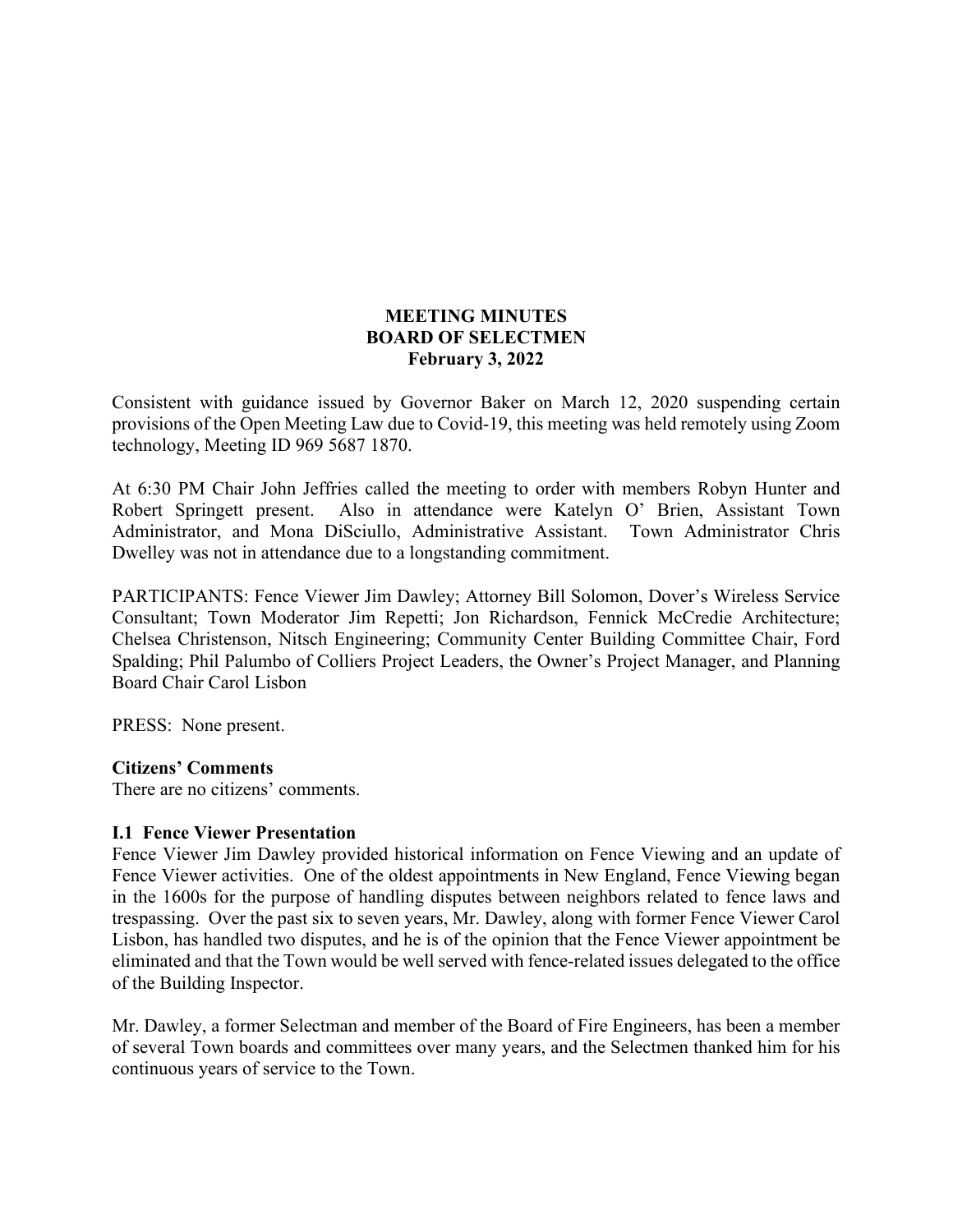## **MEETING MINUTES BOARD OF SELECTMEN February 3, 2022**

Consistent with guidance issued by Governor Baker on March 12, 2020 suspending certain provisions of the Open Meeting Law due to Covid-19, this meeting was held remotely using Zoom technology, Meeting ID 969 5687 1870.

At 6:30 PM Chair John Jeffries called the meeting to order with members Robyn Hunter and Robert Springett present. Also in attendance were Katelyn O' Brien, Assistant Town Administrator, and Mona DiSciullo, Administrative Assistant. Town Administrator Chris Dwelley was not in attendance due to a longstanding commitment.

PARTICIPANTS: Fence Viewer Jim Dawley; Attorney Bill Solomon, Dover's Wireless Service Consultant; Town Moderator Jim Repetti; Jon Richardson, Fennick McCredie Architecture; Chelsea Christenson, Nitsch Engineering; Community Center Building Committee Chair, Ford Spalding; Phil Palumbo of Colliers Project Leaders, the Owner's Project Manager, and Planning Board Chair Carol Lisbon

PRESS: None present.

#### **Citizens' Comments**

There are no citizens' comments.

#### **I.1 Fence Viewer Presentation**

Fence Viewer Jim Dawley provided historical information on Fence Viewing and an update of Fence Viewer activities. One of the oldest appointments in New England, Fence Viewing began in the 1600s for the purpose of handling disputes between neighbors related to fence laws and trespassing. Over the past six to seven years, Mr. Dawley, along with former Fence Viewer Carol Lisbon, has handled two disputes, and he is of the opinion that the Fence Viewer appointment be eliminated and that the Town would be well served with fence-related issues delegated to the office of the Building Inspector.

Mr. Dawley, a former Selectman and member of the Board of Fire Engineers, has been a member of several Town boards and committees over many years, and the Selectmen thanked him for his continuous years of service to the Town.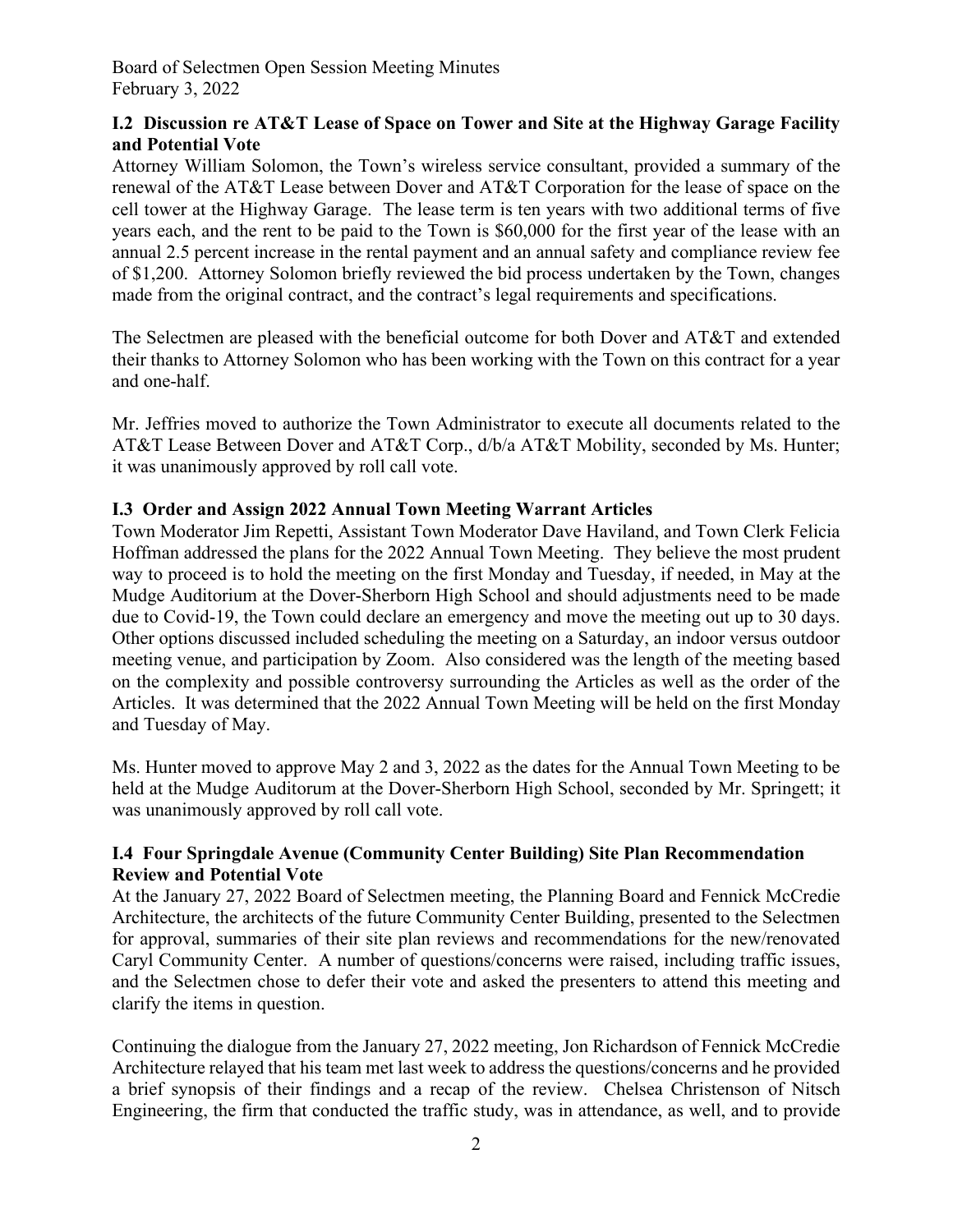## **I.2 Discussion re AT&T Lease of Space on Tower and Site at the Highway Garage Facility and Potential Vote**

Attorney William Solomon, the Town's wireless service consultant, provided a summary of the renewal of the AT&T Lease between Dover and AT&T Corporation for the lease of space on the cell tower at the Highway Garage. The lease term is ten years with two additional terms of five years each, and the rent to be paid to the Town is \$60,000 for the first year of the lease with an annual 2.5 percent increase in the rental payment and an annual safety and compliance review fee of \$1,200. Attorney Solomon briefly reviewed the bid process undertaken by the Town, changes made from the original contract, and the contract's legal requirements and specifications.

The Selectmen are pleased with the beneficial outcome for both Dover and AT&T and extended their thanks to Attorney Solomon who has been working with the Town on this contract for a year and one-half.

Mr. Jeffries moved to authorize the Town Administrator to execute all documents related to the AT&T Lease Between Dover and AT&T Corp., d/b/a AT&T Mobility, seconded by Ms. Hunter; it was unanimously approved by roll call vote.

## **I.3 Order and Assign 2022 Annual Town Meeting Warrant Articles**

Town Moderator Jim Repetti, Assistant Town Moderator Dave Haviland, and Town Clerk Felicia Hoffman addressed the plans for the 2022 Annual Town Meeting. They believe the most prudent way to proceed is to hold the meeting on the first Monday and Tuesday, if needed, in May at the Mudge Auditorium at the Dover-Sherborn High School and should adjustments need to be made due to Covid-19, the Town could declare an emergency and move the meeting out up to 30 days. Other options discussed included scheduling the meeting on a Saturday, an indoor versus outdoor meeting venue, and participation by Zoom. Also considered was the length of the meeting based on the complexity and possible controversy surrounding the Articles as well as the order of the Articles. It was determined that the 2022 Annual Town Meeting will be held on the first Monday and Tuesday of May.

Ms. Hunter moved to approve May 2 and 3, 2022 as the dates for the Annual Town Meeting to be held at the Mudge Auditorum at the Dover-Sherborn High School, seconded by Mr. Springett; it was unanimously approved by roll call vote.

## **I.4 Four Springdale Avenue (Community Center Building) Site Plan Recommendation Review and Potential Vote**

At the January 27, 2022 Board of Selectmen meeting, the Planning Board and Fennick McCredie Architecture, the architects of the future Community Center Building, presented to the Selectmen for approval, summaries of their site plan reviews and recommendations for the new/renovated Caryl Community Center. A number of questions/concerns were raised, including traffic issues, and the Selectmen chose to defer their vote and asked the presenters to attend this meeting and clarify the items in question.

Continuing the dialogue from the January 27, 2022 meeting, Jon Richardson of Fennick McCredie Architecture relayed that his team met last week to address the questions/concerns and he provided a brief synopsis of their findings and a recap of the review. Chelsea Christenson of Nitsch Engineering, the firm that conducted the traffic study, was in attendance, as well, and to provide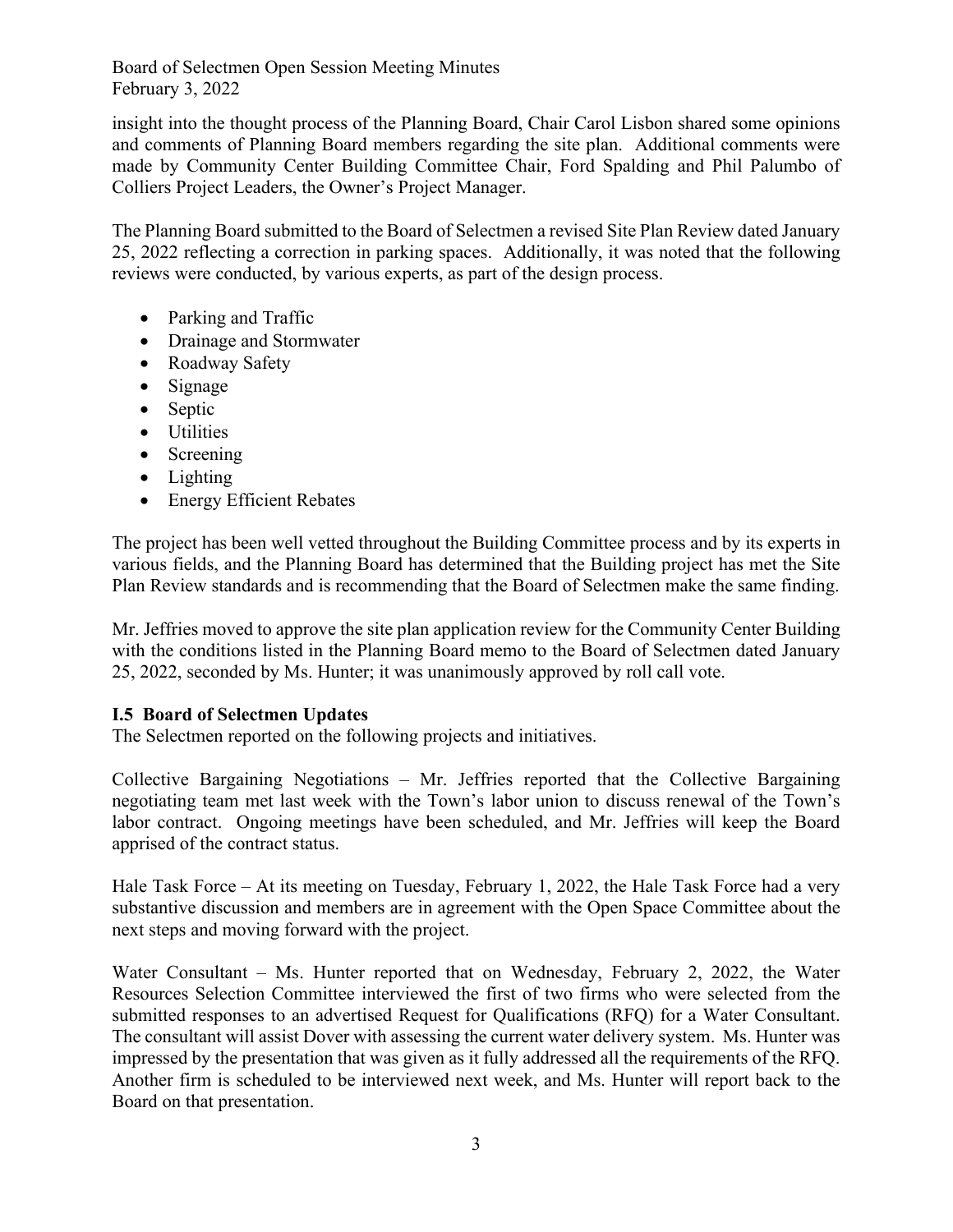Board of Selectmen Open Session Meeting Minutes February 3, 2022

insight into the thought process of the Planning Board, Chair Carol Lisbon shared some opinions and comments of Planning Board members regarding the site plan. Additional comments were made by Community Center Building Committee Chair, Ford Spalding and Phil Palumbo of Colliers Project Leaders, the Owner's Project Manager.

The Planning Board submitted to the Board of Selectmen a revised Site Plan Review dated January 25, 2022 reflecting a correction in parking spaces. Additionally, it was noted that the following reviews were conducted, by various experts, as part of the design process.

- Parking and Traffic
- Drainage and Stormwater
- Roadway Safety
- Signage
- Septic
- Utilities
- Screening
- Lighting
- Energy Efficient Rebates

The project has been well vetted throughout the Building Committee process and by its experts in various fields, and the Planning Board has determined that the Building project has met the Site Plan Review standards and is recommending that the Board of Selectmen make the same finding.

Mr. Jeffries moved to approve the site plan application review for the Community Center Building with the conditions listed in the Planning Board memo to the Board of Selectmen dated January 25, 2022, seconded by Ms. Hunter; it was unanimously approved by roll call vote.

## **I.5 Board of Selectmen Updates**

The Selectmen reported on the following projects and initiatives.

Collective Bargaining Negotiations – Mr. Jeffries reported that the Collective Bargaining negotiating team met last week with the Town's labor union to discuss renewal of the Town's labor contract. Ongoing meetings have been scheduled, and Mr. Jeffries will keep the Board apprised of the contract status.

Hale Task Force – At its meeting on Tuesday, February 1, 2022, the Hale Task Force had a very substantive discussion and members are in agreement with the Open Space Committee about the next steps and moving forward with the project.

Water Consultant – Ms. Hunter reported that on Wednesday, February 2, 2022, the Water Resources Selection Committee interviewed the first of two firms who were selected from the submitted responses to an advertised Request for Qualifications (RFQ) for a Water Consultant. The consultant will assist Dover with assessing the current water delivery system. Ms. Hunter was impressed by the presentation that was given as it fully addressed all the requirements of the RFQ. Another firm is scheduled to be interviewed next week, and Ms. Hunter will report back to the Board on that presentation.